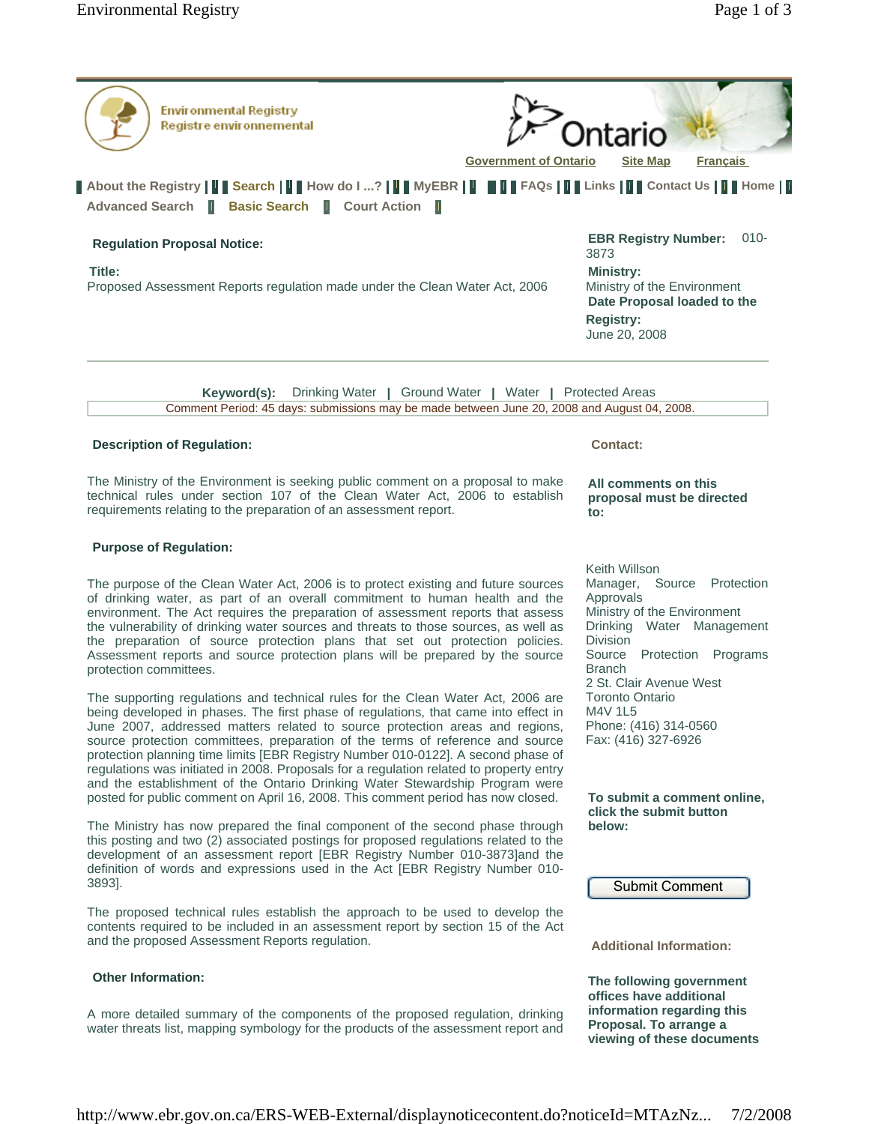

# **Purpose of Regulation:**

The purpose of the Clean Water Act, 2006 is to protect existing and future sources of drinking water, as part of an overall commitment to human health and the environment. The Act requires the preparation of assessment reports that assess the vulnerability of drinking water sources and threats to those sources, as well as the preparation of source protection plans that set out protection policies. Assessment reports and source protection plans will be prepared by the source protection committees.

requirements relating to the preparation of an assessment report.

The supporting regulations and technical rules for the Clean Water Act, 2006 are being developed in phases. The first phase of regulations, that came into effect in June 2007, addressed matters related to source protection areas and regions, source protection committees, preparation of the terms of reference and source protection planning time limits [EBR Registry Number 010-0122]. A second phase of regulations was initiated in 2008. Proposals for a regulation related to property entry and the establishment of the Ontario Drinking Water Stewardship Program were posted for public comment on April 16, 2008. This comment period has now closed.

The Ministry has now prepared the final component of the second phase through this posting and two (2) associated postings for proposed regulations related to the development of an assessment report [EBR Registry Number 010-3873]and the definition of words and expressions used in the Act [EBR Registry Number 010- 3893].

The proposed technical rules establish the approach to be used to develop the contents required to be included in an assessment report by section 15 of the Act and the proposed Assessment Reports regulation.

## **Other Information:**

A more detailed summary of the components of the proposed regulation, drinking water threats list, mapping symbology for the products of the assessment report and **proposal must be directed to:** 

Keith Willson Manager, Source Protection Approvals Ministry of the Environment Drinking Water Management Division Source Protection Programs Branch 2 St. Clair Avenue West Toronto Ontario M4V 1L5 Phone: (416) 314-0560 Fax: (416) 327-6926

**To submit a comment online, click the submit button below:** 

Submit Comment

**Additional Information:** 

**The following government offices have additional information regarding this Proposal. To arrange a viewing of these documents**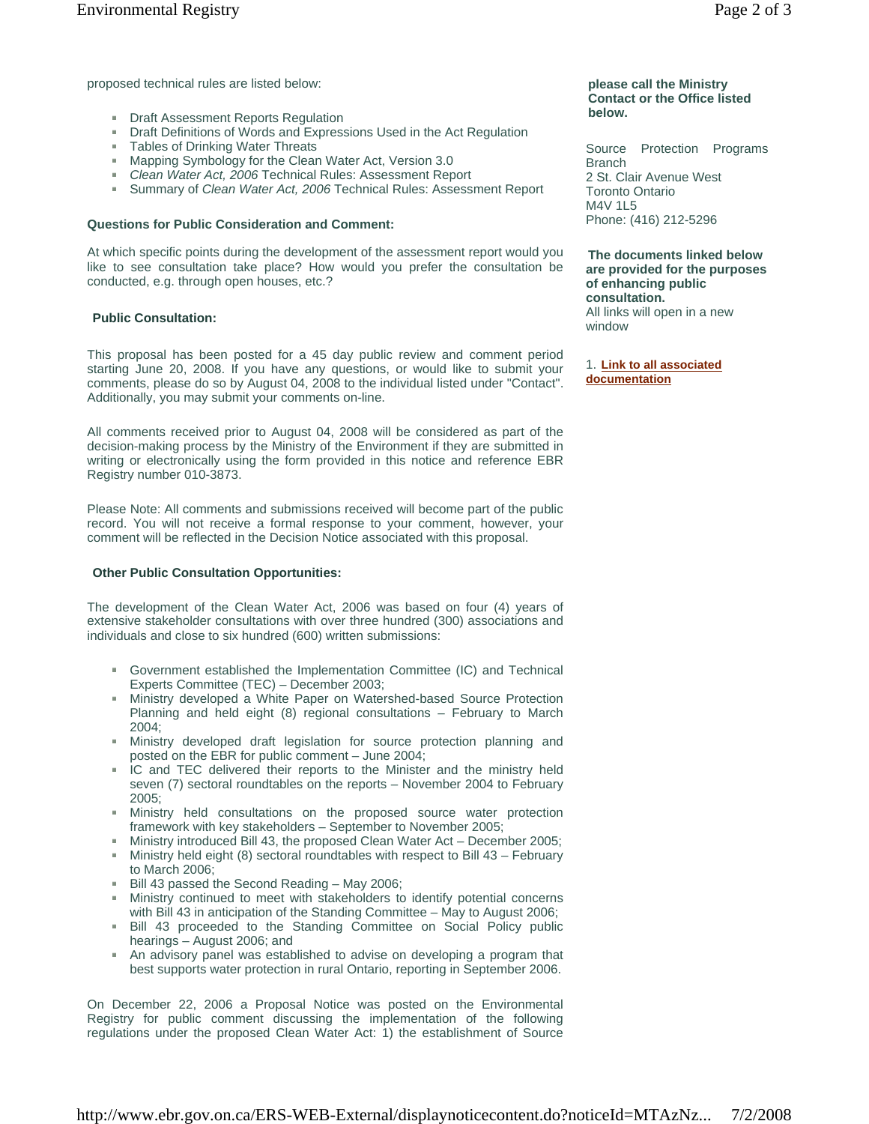proposed technical rules are listed below:

- **Draft Assessment Reports Regulation**
- **Draft Definitions of Words and Expressions Used in the Act Regulation**
- **Tables of Drinking Water Threats**
- Mapping Symbology for the Clean Water Act, Version 3.0
- *Clean Water Act, 2006* Technical Rules: Assessment Report
- Summary of *Clean Water Act, 2006* Technical Rules: Assessment Report

### **Questions for Public Consideration and Comment:**

At which specific points during the development of the assessment report would you like to see consultation take place? How would you prefer the consultation be conducted, e.g. through open houses, etc.?

## **Public Consultation:**

This proposal has been posted for a 45 day public review and comment period starting June 20, 2008. If you have any questions, or would like to submit your comments, please do so by August 04, 2008 to the individual listed under "Contact". Additionally, you may submit your comments on-line.

All comments received prior to August 04, 2008 will be considered as part of the decision-making process by the Ministry of the Environment if they are submitted in writing or electronically using the form provided in this notice and reference EBR Registry number 010-3873.

Please Note: All comments and submissions received will become part of the public record. You will not receive a formal response to your comment, however, your comment will be reflected in the Decision Notice associated with this proposal.

#### **Other Public Consultation Opportunities:**

The development of the Clean Water Act, 2006 was based on four (4) years of extensive stakeholder consultations with over three hundred (300) associations and individuals and close to six hundred (600) written submissions:

- Government established the Implementation Committee (IC) and Technical a. Experts Committee (TEC) – December 2003;
- Ministry developed a White Paper on Watershed-based Source Protection Planning and held eight (8) regional consultations – February to March 2004;
- Ministry developed draft legislation for source protection planning and  $\mathbf{m}$  . posted on the EBR for public comment – June 2004;
- IC and TEC delivered their reports to the Minister and the ministry held seven (7) sectoral roundtables on the reports – November 2004 to February 2005;
- Ministry held consultations on the proposed source water protection framework with key stakeholders – September to November 2005;
- Ministry introduced Bill 43, the proposed Clean Water Act December 2005;
- $\mathbf{m}$  . Ministry held eight (8) sectoral roundtables with respect to Bill 43 – February to March 2006;
- Bill 43 passed the Second Reading May 2006;
- Ministry continued to meet with stakeholders to identify potential concerns with Bill 43 in anticipation of the Standing Committee – May to August 2006;
- Bill 43 proceeded to the Standing Committee on Social Policy public  $\mathbf{m}$  . hearings – August 2006; and
- An advisory panel was established to advise on developing a program that best supports water protection in rural Ontario, reporting in September 2006.

On December 22, 2006 a Proposal Notice was posted on the Environmental Registry for public comment discussing the implementation of the following regulations under the proposed Clean Water Act: 1) the establishment of Source

### **please call the Ministry Contact or the Office listed below.**

Source Protection Programs **Branch** 2 St. Clair Avenue West Toronto Ontario M4V 1L5 Phone: (416) 212-5296

**The documents linked below are provided for the purposes of enhancing public consultation.**  All links will open in a new window

1. **Link to all associated documentation**